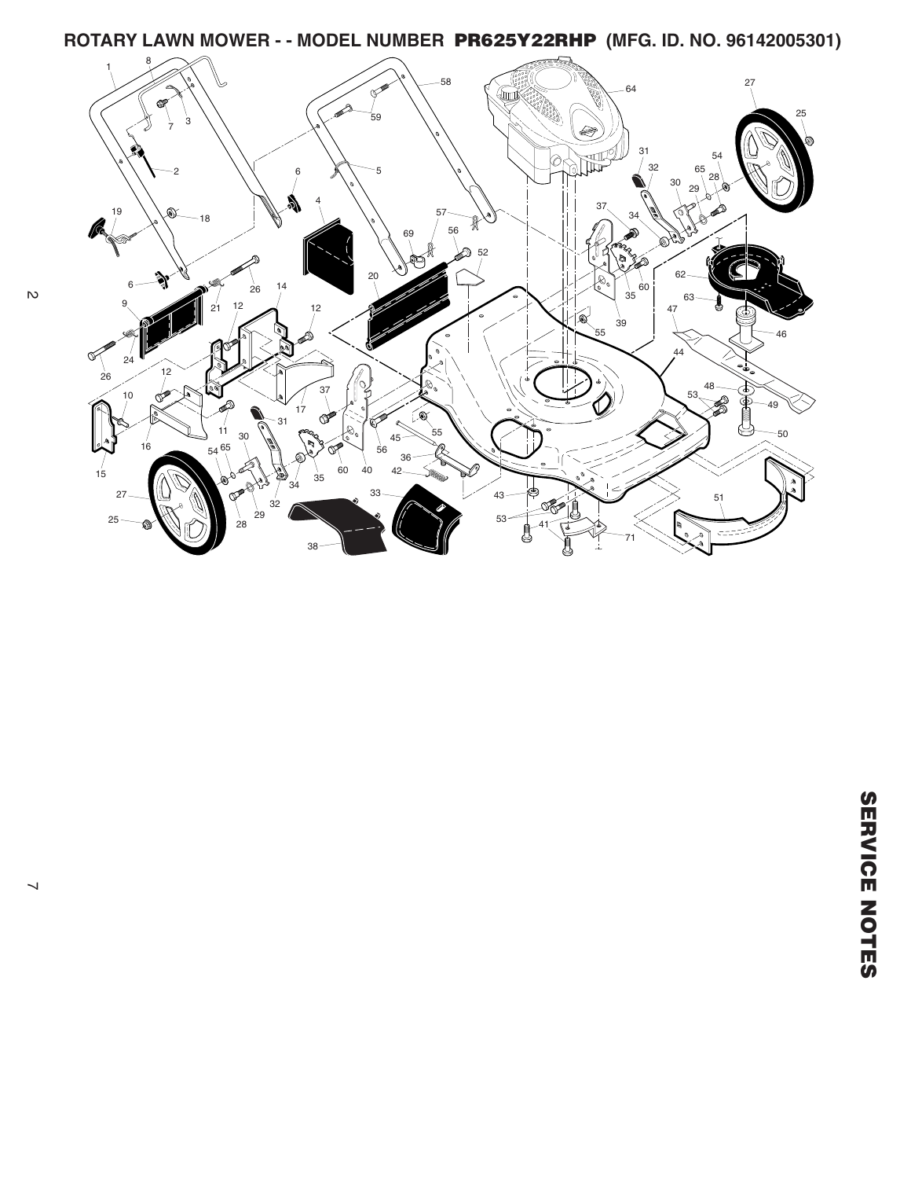**ROTARY LAWN MOWER - - MODEL NUMBER PR625Y22RHP (MFG. ID. NO. 96142005301)**

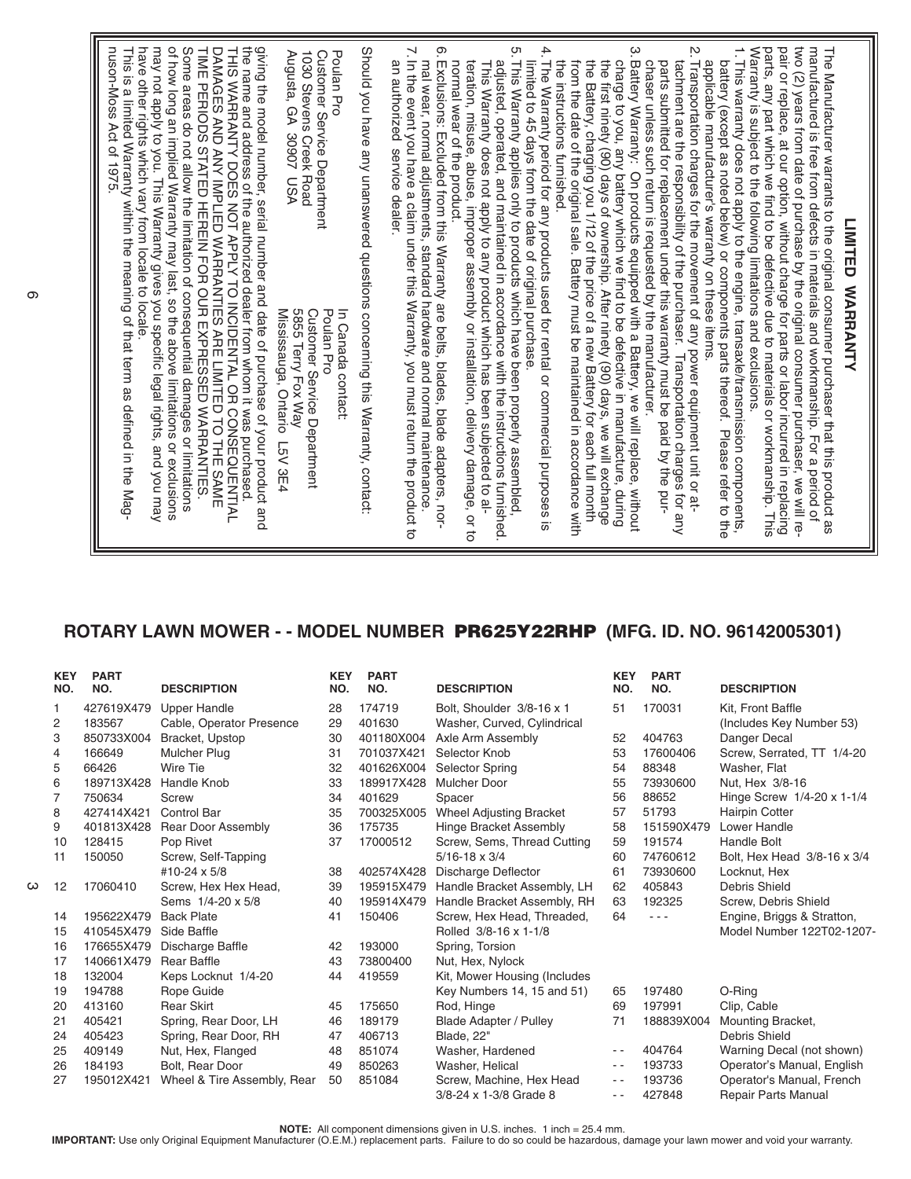## **ROTARY LAWN MOWER - - MODEL NUMBER PR625Y22RHP (MFG. ID. NO. 96142005301)**

|   | <b>KEY</b><br>NO. | <b>PART</b><br>NO. | <b>DESCRIPTION</b>          | <b>KEY</b><br>NO. | <b>PART</b><br>NO. | <b>DESCRIPTION</b>             | <b>KEY</b><br>NO. | <b>PART</b><br>NO. | <b>DESCRIPTION</b>          |
|---|-------------------|--------------------|-----------------------------|-------------------|--------------------|--------------------------------|-------------------|--------------------|-----------------------------|
|   |                   | 427619X479         | <b>Upper Handle</b>         | 28                | 174719             | Bolt, Shoulder 3/8-16 x 1      | 51                | 170031             | Kit, Front Baffle           |
|   | $\overline{c}$    | 183567             | Cable, Operator Presence    | 29                | 401630             | Washer, Curved, Cylindrical    |                   |                    | (Includes Key Number 53)    |
|   | 3                 | 850733X004         | Bracket, Upstop             | 30                | 401180X004         | Axle Arm Assembly              | 52                | 404763             | Danger Decal                |
|   | 4                 | 166649             | <b>Mulcher Plug</b>         | 31                | 701037X421         | Selector Knob                  | 53                | 17600406           | Screw, Serrated, TT 1/4-20  |
|   | 5                 | 66426              | Wire Tie                    | 32                | 401626X004         | <b>Selector Spring</b>         | 54                | 88348              | Washer, Flat                |
|   | 6                 | 189713X428         | Handle Knob                 | 33                | 189917X428         | Mulcher Door                   | 55                | 73930600           | Nut, Hex 3/8-16             |
|   |                   | 750634             | Screw                       | 34                | 401629             | Spacer                         | 56                | 88652              | Hinge Screw 1/4-20 x 1-1/4  |
|   | 8                 | 427414X421         | <b>Control Bar</b>          | 35                | 700325X005         | <b>Wheel Adjusting Bracket</b> | 57                | 51793              | Hairpin Cotter              |
|   | 9                 | 401813X428         | Rear Door Assembly          | 36                | 175735             | Hinge Bracket Assembly         | 58                | 151590X479         | Lower Handle                |
|   | 10                | 128415             | Pop Rivet                   | 37                | 17000512           | Screw, Sems, Thread Cutting    | 59                | 191574             | <b>Handle Bolt</b>          |
|   | 11                | 150050             | Screw, Self-Tapping         |                   |                    | $5/16 - 18 \times 3/4$         | 60                | 74760612           | Bolt, Hex Head 3/8-16 x 3/4 |
|   |                   |                    | #10-24 x 5/8                | 38                | 402574X428         | Discharge Deflector            | 61                | 73930600           | Locknut, Hex                |
| ω | 12                | 17060410           | Screw, Hex Hex Head,        | 39                | 195915X479         | Handle Bracket Assembly, LH    | 62                | 405843             | Debris Shield               |
|   |                   |                    | Sems 1/4-20 x 5/8           | 40                | 195914X479         | Handle Bracket Assembly, RH    | 63                | 192325             | Screw, Debris Shield        |
|   | 14                | 195622X479         | <b>Back Plate</b>           | 41                | 150406             | Screw, Hex Head, Threaded,     | 64                |                    | Engine, Briggs & Stratton,  |
|   | 15                | 410545X479         | Side Baffle                 |                   |                    | Rolled 3/8-16 x 1-1/8          |                   |                    | Model Number 122T02-1207-   |
|   | 16                | 176655X479         | Discharge Baffle            | 42                | 193000             | Spring, Torsion                |                   |                    |                             |
|   | 17                | 140661X479         | <b>Rear Baffle</b>          | 43                | 73800400           | Nut, Hex, Nylock               |                   |                    |                             |
|   | 18                | 132004             | Keps Locknut 1/4-20         | 44                | 419559             | Kit, Mower Housing (Includes   |                   |                    |                             |
|   | 19                | 194788             | Rope Guide                  |                   |                    | Key Numbers 14, 15 and 51)     | 65                | 197480             | O-Ring                      |
|   | 20                | 413160             | <b>Rear Skirt</b>           | 45                | 175650             | Rod, Hinge                     | 69                | 197991             | Clip, Cable                 |
|   | 21                | 405421             | Spring, Rear Door, LH       | 46                | 189179             | <b>Blade Adapter / Pulley</b>  | 71                | 188839X004         | Mounting Bracket,           |
|   | 24                | 405423             | Spring, Rear Door, RH       | 47                | 406713             | Blade, 22"                     |                   |                    | <b>Debris Shield</b>        |
|   | 25                | 409149             | Nut, Hex, Flanged           | 48                | 851074             | Washer, Hardened               | $ -$              | 404764             | Warning Decal (not shown)   |
|   | 26                | 184193             | Bolt, Rear Door             | 49                | 850263             | Washer, Helical                | $ -$              | 193733             | Operator's Manual, English  |
|   | 27                | 195012X421         | Wheel & Tire Assembly, Rear | 50                | 851084             | Screw, Machine, Hex Head       | $ -$              | 193736             | Operator's Manual, French   |
|   |                   |                    |                             |                   |                    | 3/8-24 x 1-3/8 Grade 8         | - -               | 427848             | Repair Parts Manual         |

NOTE: All component dimensions given in U.S. inches. 1 inch = 25.4 mm.<br>IMPORTANT: Use only Original Equipment Manufacturer (O.E.M.) replacement parts. Failure to do so could be hazardous, damage your lawn mower and void yo